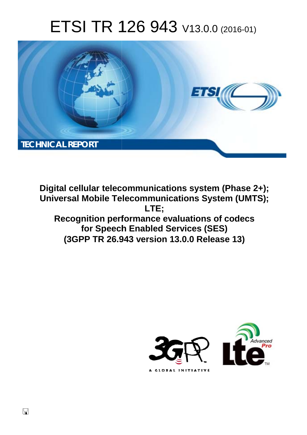# ETSI TR 126 943 V13.0.0 (2016-01)



**Digital cellular telecommunications system (Phase 2+); Universal Mobile Tel elecommunications System ( (UMTS); Recognition performance evaluations of codecs for Speech ch Enabled Services (SES) (3GPP TR 26.9 .943 version 13.0.0 Release 13 13) LTE;** 



 $\Box$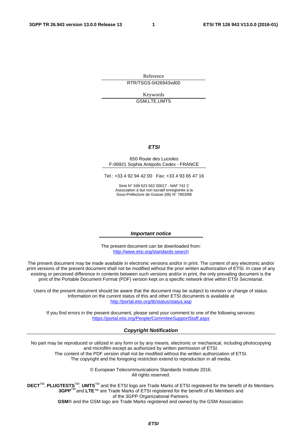Reference RTR/TSGS-0426943vd00

> Keywords GSM,LTE,UMTS

#### *ETSI*

#### 650 Route des Lucioles F-06921 Sophia Antipolis Cedex - FRANCE

Tel.: +33 4 92 94 42 00 Fax: +33 4 93 65 47 16

Siret N° 348 623 562 00017 - NAF 742 C Association à but non lucratif enregistrée à la Sous-Préfecture de Grasse (06) N° 7803/88

#### *Important notice*

The present document can be downloaded from: <http://www.etsi.org/standards-search>

The present document may be made available in electronic versions and/or in print. The content of any electronic and/or print versions of the present document shall not be modified without the prior written authorization of ETSI. In case of any existing or perceived difference in contents between such versions and/or in print, the only prevailing document is the print of the Portable Document Format (PDF) version kept on a specific network drive within ETSI Secretariat.

Users of the present document should be aware that the document may be subject to revision or change of status. Information on the current status of this and other ETSI documents is available at <http://portal.etsi.org/tb/status/status.asp>

If you find errors in the present document, please send your comment to one of the following services: <https://portal.etsi.org/People/CommiteeSupportStaff.aspx>

#### *Copyright Notification*

No part may be reproduced or utilized in any form or by any means, electronic or mechanical, including photocopying and microfilm except as authorized by written permission of ETSI.

The content of the PDF version shall not be modified without the written authorization of ETSI. The copyright and the foregoing restriction extend to reproduction in all media.

> © European Telecommunications Standards Institute 2016. All rights reserved.

**DECT**TM, **PLUGTESTS**TM, **UMTS**TM and the ETSI logo are Trade Marks of ETSI registered for the benefit of its Members. **3GPP**TM and **LTE**™ are Trade Marks of ETSI registered for the benefit of its Members and of the 3GPP Organizational Partners.

**GSM**® and the GSM logo are Trade Marks registered and owned by the GSM Association.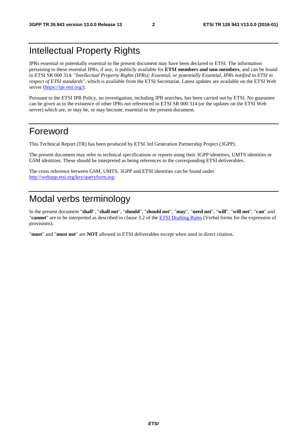# Intellectual Property Rights

IPRs essential or potentially essential to the present document may have been declared to ETSI. The information pertaining to these essential IPRs, if any, is publicly available for **ETSI members and non-members**, and can be found in ETSI SR 000 314: *"Intellectual Property Rights (IPRs); Essential, or potentially Essential, IPRs notified to ETSI in respect of ETSI standards"*, which is available from the ETSI Secretariat. Latest updates are available on the ETSI Web server [\(https://ipr.etsi.org/](https://ipr.etsi.org/)).

Pursuant to the ETSI IPR Policy, no investigation, including IPR searches, has been carried out by ETSI. No guarantee can be given as to the existence of other IPRs not referenced in ETSI SR 000 314 (or the updates on the ETSI Web server) which are, or may be, or may become, essential to the present document.

# Foreword

This Technical Report (TR) has been produced by ETSI 3rd Generation Partnership Project (3GPP).

The present document may refer to technical specifications or reports using their 3GPP identities, UMTS identities or GSM identities. These should be interpreted as being references to the corresponding ETSI deliverables.

The cross reference between GSM, UMTS, 3GPP and ETSI identities can be found under <http://webapp.etsi.org/key/queryform.asp>.

# Modal verbs terminology

In the present document "**shall**", "**shall not**", "**should**", "**should not**", "**may**", "**need not**", "**will**", "**will not**", "**can**" and "**cannot**" are to be interpreted as described in clause 3.2 of the [ETSI Drafting Rules](http://portal.etsi.org/Help/editHelp!/Howtostart/ETSIDraftingRules.aspx) (Verbal forms for the expression of provisions).

"**must**" and "**must not**" are **NOT** allowed in ETSI deliverables except when used in direct citation.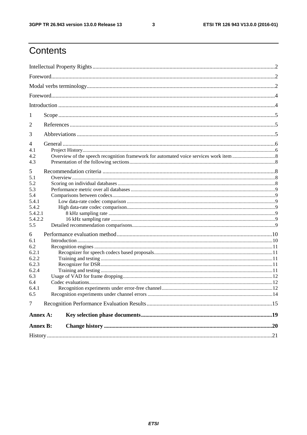$\mathbf{3}$ 

# Contents

| 1               |  |
|-----------------|--|
| 2               |  |
| 3               |  |
| 4               |  |
| 4.1             |  |
| 4.2             |  |
| 4.3             |  |
| 5               |  |
| 5.1             |  |
| 5.2             |  |
| 5.3             |  |
| 5.4             |  |
| 5.4.1           |  |
| 5.4.2           |  |
| 5.4.2.1         |  |
| 5.4.2.2         |  |
| 5.5             |  |
| 6               |  |
| 6.1             |  |
| 6.2             |  |
| 6.2.1           |  |
| 6.2.2           |  |
| 6.2.3           |  |
| 6.2.4           |  |
| 6.3<br>6.4      |  |
| 6.4.1           |  |
| 6.5             |  |
|                 |  |
| 7               |  |
| Annex A:        |  |
| <b>Annex B:</b> |  |
|                 |  |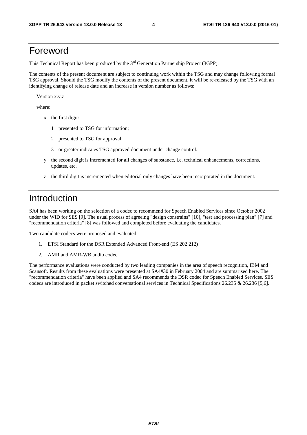# Foreword

This Technical Report has been produced by the  $3<sup>rd</sup>$  Generation Partnership Project (3GPP).

The contents of the present document are subject to continuing work within the TSG and may change following formal TSG approval. Should the TSG modify the contents of the present document, it will be re-released by the TSG with an identifying change of release date and an increase in version number as follows:

Version x.y.z

where:

- x the first digit:
	- 1 presented to TSG for information;
	- 2 presented to TSG for approval;
	- 3 or greater indicates TSG approved document under change control.
- y the second digit is incremented for all changes of substance, i.e. technical enhancements, corrections, updates, etc.
- z the third digit is incremented when editorial only changes have been incorporated in the document.

# Introduction

SA4 has been working on the selection of a codec to recommend for Speech Enabled Services since October 2002 under the WID for SES [9]. The usual process of agreeing "design constrains" [10], "test and processing plan" [7] and "recommendation criteria" [8] was followed and completed before evaluating the candidates.

Two candidate codecs were proposed and evaluated:

- 1. ETSI Standard for the DSR Extended Advanced Front-end (ES 202 212)
- 2. AMR and AMR-WB audio codec

The performance evaluations were conducted by two leading companies in the area of speech recognition, IBM and Scansoft. Results from these evaluations were presented at SA4#30 in February 2004 and are summarised here. The "recommendation criteria" have been applied and SA4 recommends the DSR codec for Speech Enabled Services. SES codecs are introduced in packet switched conversational services in Technical Specifications 26.235 & 26.236 [5,6].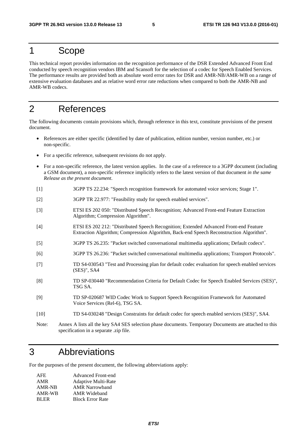# 1 Scope

This technical report provides information on the recognition performance of the DSR Extended Advanced Front End conducted by speech recognition vendors IBM and Scansoft for the selection of a codec for Speech Enabled Services. The performance results are provided both as absolute word error rates for DSR and AMR-NB/AMR-WB on a range of extensive evaluation databases and as relative word error rate reductions when compared to both the AMR-NB and AMR-WB codecs.

# 2 References

The following documents contain provisions which, through reference in this text, constitute provisions of the present document.

- References are either specific (identified by date of publication, edition number, version number, etc.) or non-specific.
- For a specific reference, subsequent revisions do not apply.
- For a non-specific reference, the latest version applies. In the case of a reference to a 3GPP document (including a GSM document), a non-specific reference implicitly refers to the latest version of that document *in the same Release as the present document*.
- [1] 3GPP TS 22.234: "Speech recognition framework for automated voice services; Stage 1".
- [2] 3GPP TR 22.977: "Feasibility study for speech enabled services".
- [3] ETSI ES 202 050: "Distributed Speech Recognition; Advanced Front-end Feature Extraction Algorithm; Compression Algorithm".
- [4] ETSI ES 202 212: "Distributed Speech Recognition; Extended Advanced Front-end Feature Extraction Algorithm; Compression Algorithm, Back-end Speech Reconstruction Algorithm".
- [5] 3GPP TS 26.235: "Packet switched conversational multimedia applications; Default codecs".
- [6] 3GPP TS 26.236: "Packet switched conversational multimedia applications; Transport Protocols".
- [7] TD S4-030543 "Test and Processing plan for default codec evaluation for speech enabled services (SES)", SA4
- [8] TD SP-030440 "Recommendation Criteria for Default Codec for Speech Enabled Services (SES)", TSG SA.
- [9] TD SP-020687 WID Codec Work to Support Speech Recognition Framework for Automated Voice Services (Rel-6), TSG SA.
- [10] TD S4-030248 "Design Constraints for default codec for speech enabled services (SES)", SA4.
- Note: Annex A lists all the key SA4 SES selection phase documents. Temporary Documents are attached to this specification in a separate .zip file.

# 3 Abbreviations

For the purposes of the present document, the following abbreviations apply:

| <b>AFE</b>  | <b>Advanced Front-end</b> |
|-------------|---------------------------|
| AMR         | Adaptive Multi-Rate       |
| AMR-NB      | <b>AMR</b> Narrowband     |
| AMR-WB      | <b>AMR</b> Wideband       |
| <b>BLER</b> | <b>Block Error Rate</b>   |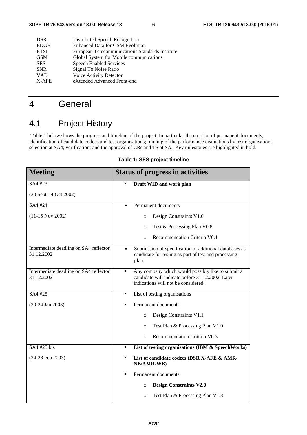| <b>DSR</b>  | Distributed Speech Recognition                  |
|-------------|-------------------------------------------------|
| <b>EDGE</b> | <b>Enhanced Data for GSM Evolution</b>          |
| <b>ETSI</b> | European Telecommunications Standards Institute |
| <b>GSM</b>  | Global System for Mobile communications         |
| <b>SES</b>  | <b>Speech Enabled Services</b>                  |
| <b>SNR</b>  | Signal To Noise Ratio                           |
| <b>VAD</b>  | Voice Activity Detector                         |
| X-AFE       | eXtended Advanced Front-end                     |
|             |                                                 |

# 4 General

# 4.1 Project History

 Table 1 below shows the progress and timeline of the project. In particular the creation of permanent documents; identification of candidate codecs and test organisations; running of the performance evaluations by test organisations; selection at SA4; verification; and the approval of CRs and TS at SA. Key milestones are highlighted in bold.

| <b>Meeting</b>                                       | <b>Status of progress in activities</b>                                                                                                      |  |  |
|------------------------------------------------------|----------------------------------------------------------------------------------------------------------------------------------------------|--|--|
| SA4 #23                                              | Draft WID and work plan<br>n,                                                                                                                |  |  |
| (30 Sept - 4 Oct 2002)                               |                                                                                                                                              |  |  |
| SA4 #24                                              | Permanent documents                                                                                                                          |  |  |
| $(11-15$ Nov 2002)                                   | Design Constraints V1.0<br>$\circ$                                                                                                           |  |  |
|                                                      | Test & Processing Plan V0.8<br>$\circ$                                                                                                       |  |  |
|                                                      | Recommendation Criteria V0.1<br>$\circ$                                                                                                      |  |  |
| Intermediate deadline on SA4 reflector<br>31.12.2002 | Submission of specification of additional databases as<br>candidate for testing as part of test and processing<br>plan.                      |  |  |
| Intermediate deadline on SA4 reflector<br>31.12.2002 | Any company which would possibly like to submit a<br>candidate will indicate before 31.12.2002. Later<br>indications will not be considered. |  |  |
| SA4 #25                                              | List of testing organisations<br>$\blacksquare$                                                                                              |  |  |
| $(20-24$ Jan 2003)                                   | Permanent documents                                                                                                                          |  |  |
|                                                      | Design Constraints V1.1<br>$\circ$                                                                                                           |  |  |
|                                                      | Test Plan & Processing Plan V1.0<br>$\circ$                                                                                                  |  |  |
|                                                      | Recommendation Criteria V0.3<br>$\circ$                                                                                                      |  |  |
| SA4 #25 bis                                          | List of testing organisations (IBM & SpeechWorks)<br>$\blacksquare$                                                                          |  |  |
| $(24-28$ Feb 2003)                                   | List of candidate codecs (DSR X-AFE & AMR-<br>п<br><b>NB/AMR-WB)</b>                                                                         |  |  |
|                                                      | Permanent documents<br>$\blacksquare$                                                                                                        |  |  |
|                                                      | <b>Design Constraints V2.0</b><br>$\circ$                                                                                                    |  |  |
|                                                      | Test Plan & Processing Plan V1.3<br>$\circ$                                                                                                  |  |  |

#### **Table 1: SES project timeline**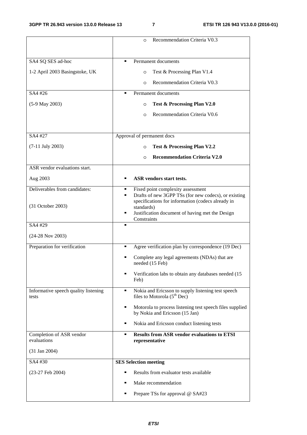|                                               | Recommendation Criteria V0.3<br>$\circ$                                                                         |
|-----------------------------------------------|-----------------------------------------------------------------------------------------------------------------|
| SA4 SQ SES ad-hoc                             | Permanent documents<br>п                                                                                        |
| 1-2 April 2003 Basingstoke, UK                | Test & Processing Plan V1.4<br>$\circ$                                                                          |
|                                               | Recommendation Criteria V0.3<br>$\Omega$                                                                        |
| SA4 #26                                       | <b>Permanent documents</b><br>$\blacksquare$                                                                    |
| $(5-9$ May 2003)                              | Test & Processing Plan V2.0<br>$\circ$                                                                          |
|                                               | Recommendation Criteria V0.6<br>$\circ$                                                                         |
| SA4 #27                                       | Approval of permanent docs                                                                                      |
| $(7-11$ July 2003)                            | <b>Test &amp; Processing Plan V2.2</b><br>$\circ$                                                               |
|                                               | <b>Recommendation Criteria V2.0</b><br>$\circ$                                                                  |
| ASR vendor evaluations start.                 |                                                                                                                 |
| Aug 2003                                      | <b>ASR</b> vendors start tests.<br>П                                                                            |
| Deliverables from candidates:                 | Fixed point complexity assessment<br>п<br>Drafts of new 3GPP TSs (for new codecs), or existing<br>٠             |
| (31 October 2003)                             | specifications for information (codecs already in                                                               |
|                                               | standards)<br>Justification document of having met the Design<br>п                                              |
| SA4 #29                                       | Constraints<br>$\blacksquare$                                                                                   |
| $(24-28$ Nov 2003)                            |                                                                                                                 |
| Preparation for verification                  | Agree verification plan by correspondence (19 Dec)<br>п                                                         |
|                                               | Complete any legal agreements (NDAs) that are<br>п<br>needed (15 Feb)                                           |
|                                               | Verification labs to obtain any databases needed (15<br>п<br>Feb)                                               |
| Informative speech quality listening<br>tests | Nokia and Ericsson to supply listening test speech<br>$\blacksquare$<br>files to Motorola (5 <sup>th</sup> Dec) |
|                                               | Motorola to process listening test speech files supplied<br>п<br>by Nokia and Ericsson (15 Jan)                 |
|                                               | Nokia and Ericsson conduct listening tests<br>٠                                                                 |
| Completion of ASR vendor<br>evaluations       | <b>Results from ASR vendor evaluations to ETSI</b><br>$\blacksquare$<br>representative                          |
| $(31 \text{ Jan } 2004)$                      |                                                                                                                 |
| SA4 #30                                       | <b>SES Selection meeting</b>                                                                                    |
| $(23-27$ Feb 2004)                            | Results from evaluator tests available<br>п                                                                     |
|                                               | Make recommendation<br>п                                                                                        |
|                                               | Prepare TSs for approval @ SA#23<br>п                                                                           |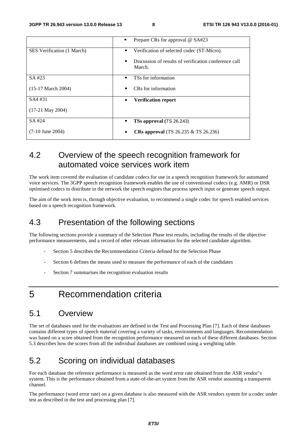|                               | Prepare CRs for approval @ SA#23                                     |
|-------------------------------|----------------------------------------------------------------------|
| SES Verification (1 March)    | Verification of selected codec (ST-Micro).<br>п                      |
|                               | Discussion of results of verification conference call<br>П<br>March. |
| SA #23                        | TSs for information<br>П                                             |
| $(15-17 \text{ March } 2004)$ | CRs for information<br>П                                             |
| SA4#31                        | <b>Verification report</b><br>٠                                      |
| $(17-21$ May 2004)            |                                                                      |
| SA #24                        | TSs approval (TS 26.243)<br>П                                        |
| $(7-10$ June 2004)            | <b>CRs approval</b> (TS 26.235 $\&$ TS 26.236)<br>$\bullet$          |

# 4.2 Overview of the speech recognition framework for automated voice services work item

The work item covered the evaluation of candidate codecs for use in a speech recognition framework for automated voice services. The 3GPP speech recognition framework enables the use of conventional codecs (e.g. AMR) or DSR optimised codecs to distribute in the network the speech engines that process speech input or generate speech output.

The aim of the work item is, through objective evaluation, to recommend a single codec for speech enabled services based on a speech recognition framework.

## 4.3 Presentation of the following sections

The following sections provide a summary of the Selection Phase test results, including the results of the objective performance measurements, and a record of other relevant information for the selected candidate algorithm.

- Section 5 describes the Recommendation Criteria defined for the Selection Phase
- Section 6 defines the means used to measure the performance of each of the candidates
- Section 7 summarises the recognition evaluation results

# 5 Recommendation criteria

### 5.1 Overview

The set of databases used for the evaluations are defined in the Test and Processing Plan [7]. Each of these databases contains different types of speech material covering a variety of tasks, environments and languages. Recommendation was based on a score obtained from the recognition performance measured on each of these different databases. Section 5.3 describes how the scores from all the individual databases are combined using a weighting table.

# 5.2 Scoring on individual databases

For each database the reference performance is measured as the word error rate obtained from the ASR vendor"s system. This is the performance obtained from a state-of-the-art system from the ASR vendor assuming a transparent channel.

The performance (word error rate) on a given database is also measured with the ASR vendors system for a codec under test as described in the test and processing plan [7].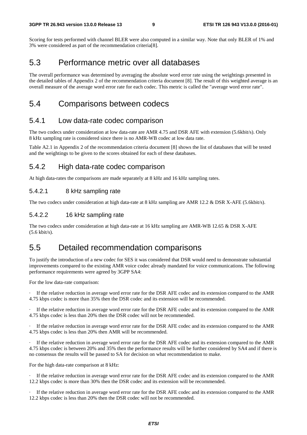Scoring for tests performed with channel BLER were also computed in a similar way. Note that only BLER of 1% and 3% were considered as part of the recommendation criteria[8].

### 5.3 Performance metric over all databases

The overall performance was determined by averaging the absolute word error rate using the weightings presented in the detailed tables of Appendix 2 of the recommendation criteria document [8]. The result of this weighted average is an overall measure of the average word error rate for each codec. This metric is called the "average word error rate".

### 5.4 Comparisons between codecs

#### 5.4.1 Low data-rate codec comparison

The two codecs under consideration at low data-rate are AMR 4.75 and DSR AFE with extension (5.6kbit/s). Only 8 kHz sampling rate is considered since there is no AMR-WB codec at low data rate.

Table A2.1 in Appendix 2 of the recommendation criteria document [8] shows the list of databases that will be tested and the weightings to be given to the scores obtained for each of these databases.

#### 5.4.2 High data-rate codec comparison

At high data-rates the comparisons are made separately at 8 kHz and 16 kHz sampling rates.

#### 5.4.2.1 8 kHz sampling rate

The two codecs under consideration at high data-rate at 8 kHz sampling are AMR 12.2 & DSR X-AFE (5.6kbit/s).

#### 5.4.2.2 16 kHz sampling rate

The two codecs under consideration at high data-rate at 16 kHz sampling are AMR-WB 12.65 & DSR X-AFE (5.6 kbit/s).

### 5.5 Detailed recommendation comparisons

To justify the introduction of a new codec for SES it was considered that DSR would need to demonstrate substantial improvements compared to the existing AMR voice codec already mandated for voice communications. The following performance requirements were agreed by 3GPP SA4:

For the low data-rate comparison:

If the relative reduction in average word error rate for the DSR AFE codec and its extension compared to the AMR 4.75 kbps codec is more than 35% then the DSR codec and its extension will be recommended.

If the relative reduction in average word error rate for the DSR AFE codec and its extension compared to the AMR 4.75 kbps codec is less than 20% then the DSR codec will not be recommended.

If the relative reduction in average word error rate for the DSR AFE codec and its extension compared to the AMR 4.75 kbps codec is less than 20% then AMR will be recommended.

If the relative reduction in average word error rate for the DSR AFE codec and its extension compared to the AMR 4.75 kbps codec is between 20% and 35% then the performance results will be further considered by SA4 and if there is no consensus the results will be passed to SA for decision on what recommendation to make.

For the high data-rate comparison at 8 kHz:

If the relative reduction in average word error rate for the DSR AFE codec and its extension compared to the AMR 12.2 kbps codec is more than 30% then the DSR codec and its extension will be recommended.

If the relative reduction in average word error rate for the DSR AFE codec and its extension compared to the AMR 12.2 kbps codec is less than 20% then the DSR codec will not be recommended.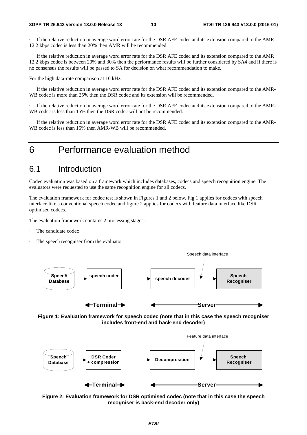If the relative reduction in average word error rate for the DSR AFE codec and its extension compared to the AMR 12.2 kbps codec is less than 20% then AMR will be recommended.

If the relative reduction in average word error rate for the DSR AFE codec and its extension compared to the AMR 12.2 kbps codec is between 20% and 30% then the performance results will be further considered by SA4 and if there is no consensus the results will be passed to SA for decision on what recommendation to make.

For the high data-rate comparison at 16 kHz:

If the relative reduction in average word error rate for the DSR AFE codec and its extension compared to the AMR-WB codec is more than 25% then the DSR codec and its extension will be recommended.

· If the relative reduction in average word error rate for the DSR AFE codec and its extension compared to the AMR-WB codec is less than 15% then the DSR codec will not be recommended.

If the relative reduction in average word error rate for the DSR AFE codec and its extension compared to the AMR-WB codec is less than 15% then AMR-WB will be recommended.

6 Performance evaluation method

### 6.1 Introduction

Codec evaluation was based on a framework which includes databases, codecs and speech recognition engine. The evaluators were requested to use the same recognition engine for all codecs.

The evaluation framework for codec test is shown in Figures 1 and 2 below. Fig 1 applies for codecs with speech interface like a conventional speech codec and figure 2 applies for codecs with feature data interface like DSR optimised codecs.

The evaluation framework contains 2 processing stages:

- The candidate codec
- The speech recogniser from the evaluator







**Figure 2: Evaluation framework for DSR optimised codec (note that in this case the speech recogniser is back-end decoder only)**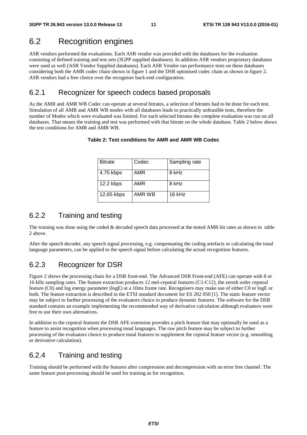# 6.2 Recognition engines

ASR vendors performed the evaluations. Each ASR vendor was provided with the databases for the evaluation consisting of defined training and test sets (3GPP supplied databases). In addition ASR vendors proprietary databases were used as well (ASR Vendor Supplied databases). Each ASR Vendor ran performance tests on these databases considering both the AMR codec chain shown in figure 1 and the DSR optimised codec chain as shown in figure 2. ASR vendors had a free choice over the recogniser back-end configuration.

### 6.2.1 Recognizer for speech codecs based proposals

As the AMR and AMR WB Codec can operate at several bitrates, a selection of bitrates had to be done for each test. Simulation of all AMR and AMR WB modes with all databases leads to practically unfeasible tests, therefore the number of Modes which were evaluated was limited. For each selected bitrates the complete evaluation was run on all databases. That means the training and test was performed with that bitrate on the whole database. Table 2 below shows the test conditions for AMR and AMR WB.

| <b>Bitrate</b> | Codec  | Sampling rate |
|----------------|--------|---------------|
| 4.75 kbps      | AMR    | 8 kHz         |
| 12.2 kbps      | AMR    | 8 kHz         |
| 12.65 kbps     | AMR WB | 16 kHz        |

#### **Table 2: Test conditions for AMR and AMR WB Codec**

### 6.2.2 Training and testing

The training was done using the coded  $&$  decoded speech data processed at the tested AMR bit rates as shown in table 2 above.

After the speech decoder, any speech signal processing, e.g. compensating the coding artefacts or calculating the tonal language parameters, can be applied to the speech signal before calculating the actual recognition features.

### 6.2.3 Recognizer for DSR

Figure 2 shows the processing chain for a DSR front-end. The Advanced DSR Front-end (AFE) can operate with 8 or 16 kHz sampling rates. The feature extraction produces 12 mel-cepstral features (C1-C12), the zeroth order cepstral feature (C0) and log energy parameter (logE) at a 10ms frame rate. Recognisers may make use of either C0 or logE or both. The feature extraction is described in the ETSI standard document for ES 202 050 [1]. The static feature vector may be subject to further processing of the evaluators choice to produce dynamic features. The software for the DSR standard contains an example implementing the recommended way of derivative calculation although evaluators were free to use their own alternatives.

In addition to the cepstral features the DSR AFE extension provides a pitch feature that may optionally be used as a feature to assist recognition when processing tonal languages. The raw pitch feature may be subject to further processing of the evaluators choice to produce tonal features to supplement the cepstral feature vector (e.g. smoothing or derivative calculation).

### 6.2.4 Training and testing

Training should be performed with the features after compression and decompression with an error free channel. The same feature post-processing should be used for training as for recognition.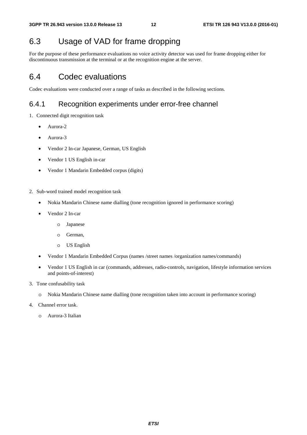# 6.3 Usage of VAD for frame dropping

For the purpose of these performance evaluations no voice activity detector was used for frame dropping either for discontinuous transmission at the terminal or at the recognition engine at the server.

# 6.4 Codec evaluations

Codec evaluations were conducted over a range of tasks as described in the following sections.

### 6.4.1 Recognition experiments under error-free channel

- 1. Connected digit recognition task
	- Aurora-2
	- Aurora-3
	- Vendor 2 In-car Japanese, German, US English
	- Vendor 1 US English in-car
	- Vendor 1 Mandarin Embedded corpus (digits)
- 2. Sub-word trained model recognition task
	- Nokia Mandarin Chinese name dialling (tone recognition ignored in performance scoring)
	- Vendor 2 In-car
		- o Japanese
		- o German,
		- o US English
	- Vendor 1 Mandarin Embedded Corpus (names /street names /organization names/commands)
	- Vendor 1 US English in car (commands, addresses, radio-controls, navigation, lifestyle information services and points-of-interest)
- 3. Tone confusability task
	- o Nokia Mandarin Chinese name dialling (tone recognition taken into account in performance scoring)
- 4. Channel error task.
	- o Aurora-3 Italian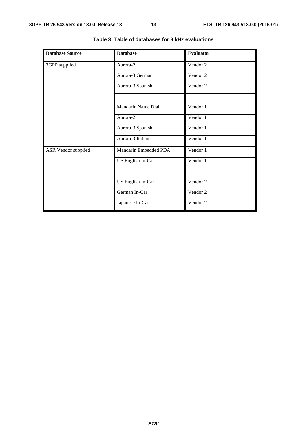| <b>Database Source</b> | <b>Database</b>       | <b>Evaluator</b> |
|------------------------|-----------------------|------------------|
| 3GPP supplied          | Aurora-2              | Vendor 2         |
|                        | Aurora-3 German       | Vendor 2         |
|                        | Aurora-3 Spanish      | Vendor 2         |
|                        |                       |                  |
|                        | Mandarin Name Dial    | Vendor 1         |
|                        | Aurora-2              | Vendor 1         |
|                        | Aurora-3 Spanish      | Vendor 1         |
|                        | Aurora-3 Italian      | Vendor 1         |
| ASR Vendor supplied    | Mandarin Embedded PDA | Vendor 1         |
|                        | US English In-Car     | Vendor 1         |
|                        |                       |                  |
|                        | US English In-Car     | Vendor 2         |
|                        | German In-Car         | Vendor 2         |
|                        | Japanese In-Car       | Vendor 2         |

**Table 3: Table of databases for 8 kHz evaluations**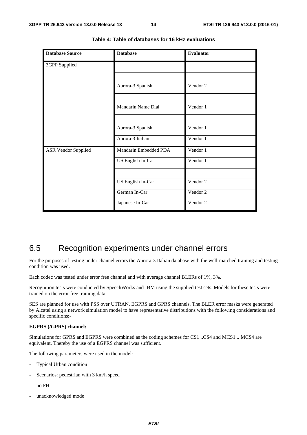| <b>Database Source</b>     | <b>Database</b>           | <b>Evaluator</b> |
|----------------------------|---------------------------|------------------|
| 3GPP Supplied              |                           |                  |
|                            |                           |                  |
|                            | Aurora-3 Spanish          | Vendor 2         |
|                            |                           |                  |
|                            | <b>Mandarin Name Dial</b> | Vendor 1         |
|                            |                           |                  |
|                            | Aurora-3 Spanish          | Vendor 1         |
|                            | Aurora-3 Italian          | Vendor 1         |
| <b>ASR Vendor Supplied</b> | Mandarin Embedded PDA     | Vendor 1         |
|                            | <b>US</b> English In-Car  | Vendor 1         |
|                            |                           |                  |
|                            | US English In-Car         | Vendor 2         |
|                            | German In-Car             | Vendor 2         |
|                            | Japanese In-Car           | Vendor 2         |

**Table 4: Table of databases for 16 kHz evaluations** 

## 6.5 Recognition experiments under channel errors

For the purposes of testing under channel errors the Aurora-3 Italian database with the well-matched training and testing condition was used.

Each codec was tested under error free channel and with average channel BLERs of 1%, 3%.

Recognition tests were conducted by SpeechWorks and IBM using the supplied test sets. Models for these tests were trained on the error free training data.

SES are planned for use with PSS over UTRAN, EGPRS and GPRS channels. The BLER error masks were generated by Alcatel using a network simulation model to have representative distributions with the following considerations and specific conditions:-

#### **EGPRS (/GPRS) channel:**

Simulations for GPRS and EGPRS were combined as the coding schemes for CS1 ..CS4 and MCS1 .. MCS4 are equivalent. Thereby the use of a EGPRS channel was sufficient.

The following parameters were used in the model:

- Typical Urban condition
- Scenarios: pedestrian with 3 km/h speed
- no FH
- unacknowledged mode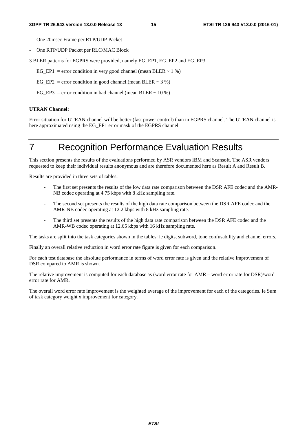- One 20msec Frame per RTP/UDP Packet
- One RTP/UDP Packet per RLC/MAC Block

3 BLER patterns for EGPRS were provided, namely EG\_EP1, EG\_EP2 and EG\_EP3

- EG\_EP1 = error condition in very good channel (mean BLER  $\sim$  1 %)
- EG\_EP2 = error condition in good channel.(mean BLER  $\sim$  3 %)
- EG EP3 = error condition in bad channel.(mean BLER  $\sim$  10 %)

#### **UTRAN Channel:**

Error situation for UTRAN channel will be better (fast power control) than in EGPRS channel. The UTRAN channel is here approximated using the EG\_EP1 error mask of the EGPRS channel.

# 7 Recognition Performance Evaluation Results

This section presents the results of the evaluations performed by ASR vendors IBM and Scansoft. The ASR vendors requested to keep their individual results anonymous and are therefore documented here as Result A and Result B.

Results are provided in three sets of tables.

- The first set presents the results of the low data rate comparison between the DSR AFE codec and the AMR-NB codec operating at 4.75 kbps with 8 kHz sampling rate.
- The second set presents the results of the high data rate comparison between the DSR AFE codec and the AMR-NB codec operating at 12.2 kbps with 8 kHz sampling rate.
- The third set presents the results of the high data rate comparison between the DSR AFE codec and the AMR-WB codec operating at 12.65 kbps with 16 kHz sampling rate.

The tasks are split into the task categories shown in the tables: ie digits, subword, tone confusability and channel errors.

Finally an overall relative reduction in word error rate figure is given for each comparison.

For each test database the absolute performance in terms of word error rate is given and the relative improvement of DSR compared to AMR is shown.

The relative improvement is computed for each database as (word error rate for AMR – word error rate for DSR)/word error rate for AMR.

The overall word error rate improvement is the weighted average of the improvement for each of the categories. Ie Sum of task category weight x improvement for category.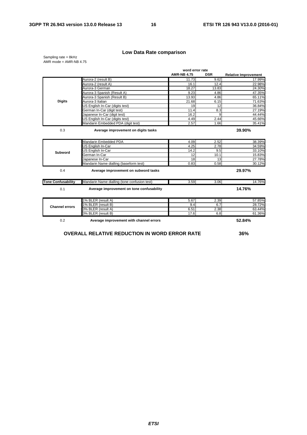#### **Low Data Rate comparison**

Sampling rate = 8kHz AMR mode = AMR-NB 4.75

|                           | word error rate                                      |                    |            |                             |
|---------------------------|------------------------------------------------------|--------------------|------------|-----------------------------|
|                           |                                                      | <b>AMR-NB 4.75</b> | <b>DSR</b> | <b>Relative Improvement</b> |
|                           | Aurora-2 (result B)                                  | 11.73              | 9.62       | 17.99%                      |
|                           | Aurora-2 (result A)                                  | 16.1               | 12.4       | 22.98%                      |
|                           | Aurora-3 German                                      | 18.27              | 13.83      | 24.30%                      |
|                           | Aurora-3 Spanish (Result A)                          | 9.23               | 4.86       | 47.35%                      |
|                           | Aurora-3 Spanish (Result B)                          | 13.93              | 4.86       | 65.11%                      |
| <b>Digits</b>             | Aurora-3 Italian                                     | 21.68              | 6.15       | 71.63%                      |
|                           | US English In-Car (digits test)                      | 19                 | 12         | 36.84%                      |
|                           | German In-Car (digit test)                           | 11.4               | 8.3        | 27.19%                      |
|                           | Japanese In-Car (digit test)                         | 16.2               | 9          | 44.44%                      |
|                           | US English In-Car (digits test)                      | 4.49               | 2.44       | 45.66%                      |
|                           | Mandarin Embedded PDA (digit test)                   | 2.57               | 1.66       | 35.41%                      |
| 0.3                       | Average improvement on digits tasks                  |                    |            | 39.90%                      |
|                           | Mandarin Embedded PDA                                | 4.09               | 2.52       | 38.39%                      |
|                           | US English In-Car                                    | 4.25               | 2.78       | 34.59%                      |
| <b>Subword</b>            | US English In-Car                                    | 14.2               | 9.5        | 33.10%                      |
|                           | German In-Car                                        | 12                 | 10.1       | 15.83%                      |
|                           | Japanese In-Car                                      | 18                 | 13         | 27.78%                      |
|                           | Mandarin Name dialling (baseform test)               | 0.83               | 0.58       | 30.12%                      |
| 0.4                       | Average improvement on subword tasks                 |                    |            | 29.97%                      |
| <b>Tone Confusability</b> | Mandarin Name dialling (tone confusion test)         | 3.59               | 3.06       | 14.76%                      |
| 0.1                       | Average improvement on tone confusability            |                    |            | 14.76%                      |
|                           | 1% BLER (result A)                                   | 5.67               | 2.39       | 57.85%                      |
| <b>Channel errors</b>     | 1% BLER (result B)                                   | 9.4                | 6.7        | 28.72%                      |
|                           | 3% BLER (result A)                                   | 6.51               | 2.38       | 63.44%                      |
|                           | 3% BLER (result B)                                   | 17.6               | 6.8        | 61.36%                      |
| 0.2                       | Average improvement with channel errors              |                    |            | 52.84%                      |
|                           | <b>OVERALL RELATIVE REDUCTION IN WORD ERROR RATE</b> |                    |            | 36%                         |

*ETSI*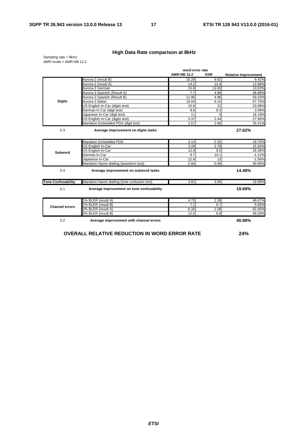#### **High Data Rate comparison at 8kHz**

Sampling rate = 8kHz AMR mode = AMR-NB 12.2

|                           | word error rate                                      |                    |            |                             |
|---------------------------|------------------------------------------------------|--------------------|------------|-----------------------------|
|                           |                                                      | <b>AMR-NB 12.2</b> | <b>DSR</b> | <b>Relative Improvement</b> |
|                           | Aurora-2 (result B)                                  | 10.28              | 9.62       | 6.42%                       |
|                           | Aurora-2 (result A)                                  | 14.2               | 12.4       | 12.68%                      |
|                           | Aurora-3 German                                      | 15.9               | 13.83      | 13.02%                      |
|                           | Aurora-3 Spanish (Result A)                          | 7.7                | 4.86       | 36.88%                      |
|                           | Aurora-3 Spanish (Result B)                          | 11.95              | 4.86       | 59.33%                      |
| <b>Digits</b>             | Aurora-3 Italian                                     | 19.04              | 6.15       | 67.70%                      |
|                           | US English In-Car (digits test)                      | 15.6               | 12         | 23.08%                      |
|                           | German In-Car (digit test)                           | 8.6                | 8.3        | 3.49%                       |
|                           | Japanese In-Car (digit test)                         | 11                 | 9          | 18.18%                      |
|                           | US English In-Car (digits test)                      | 3.37               | 2.44       | 27.60%                      |
|                           | Mandarin Embedded PDA (digit test)                   | 2.57               | 1.66       | 35.41%                      |
| 0.3                       | Average improvement on digits tasks                  |                    |            | 27.62%                      |
|                           | Mandarin Embedded PDA                                | 3.14               | 2.52       | 19.75%                      |
|                           | <b>US English In-Car</b>                             | 3.29               | 2.78       | 15.50%                      |
| Subword                   | US English In-Car                                    | 12.9               | 9.5        | 26.36%                      |
|                           | German In-Car                                        | 9.7                | 10.1       | $-4.12%$                    |
|                           | Japanese In-Car                                      | 12.8               | 13         | $-1.56%$                    |
|                           | Mandarin Name dialling (baseform test)               | 0.84               | 0.58       | 30.95%                      |
| 0.4                       | Average improvement on subword tasks                 |                    |            | 14.48%                      |
| <b>Tone Confusability</b> | Mandarin Name dialling (tone confusion test)         | 3.81               | 3.06       | 19.69%                      |
| 0.1                       | Average improvement on tone confusability            |                    |            | 19.69%                      |
|                           | 1% BLER (result A)                                   | 4.73               | 2.39       | 49.47%                      |
| <b>Channel errors</b>     | 1% BLER (result B)                                   | 7.1                | 6.7        | 5.63%                       |
|                           | 3% BLER (result A)                                   | 6.33               | 2.38       | 62.40%                      |
|                           | 3% BLER (result B)                                   | 12.6               | 6.8        | 46.03%                      |
| 0.2                       | Average improvement with channel errors              |                    |            | 40.88%                      |
|                           | <b>OVERALL RELATIVE REDUCTION IN WORD ERROR RATE</b> |                    |            | 24%                         |

*ETSI*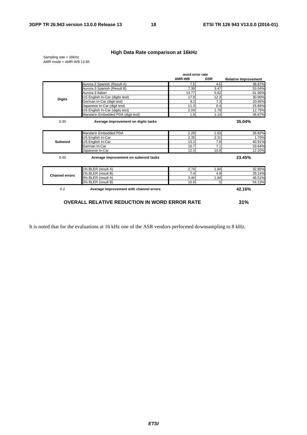#### **High Data Rate comparison at 16kHz**

Sampling rate = 16kHz AMR mode = AMR-WB 12.65

|                       |                                                      | word error rate |                |                             |
|-----------------------|------------------------------------------------------|-----------------|----------------|-----------------------------|
|                       |                                                      | <b>AMR-WB</b>   | <b>DSR</b>     | <b>Relative Improvement</b> |
|                       | Aurora-3 Spanish (Result A)                          | 7.5             | 4.6            | 38.67%                      |
|                       | Aurora-3 Spanish (Result B)                          | 7.39            | 3.47           | 53.04%                      |
|                       | Aurora-3 Italian                                     | 14.77           | 5.62           | 61.95%                      |
| <b>Digits</b>         | US English In-Car (digits test)                      | 17.8            | 12.3           | 30.90%                      |
|                       | German In-Car (digit test)                           | 9.2             | 7.3            | 20.65%                      |
|                       | Japanese In-Car (digit test)                         | 11.3            | 8.4            | 25.66%                      |
|                       | US English In-Car (digits test)                      | 2.04            | 1.78           | 12.75%                      |
|                       | Mandarin Embedded PDA (digit test)                   | 1.8             | 1.14           | 36.67%                      |
| 0.35                  | Average improvement on digits tasks                  |                 |                | 35.04%                      |
|                       | Mandarin Embedded PDA                                | 2.29            | 1.63           | 28.82%                      |
|                       | US English In-Car                                    | 2.35            | 2.31           | 1.70%                       |
| <b>Subword</b>        | US English In-Car                                    | 13.2            | 7.8            | 40.91%                      |
|                       | German In-Car                                        | 10.7            | 7.1            | 33.64%                      |
|                       | Japanese In-Car                                      | 12.3            | 10.8           | 12.20%                      |
| 0.45                  | Average improvement on subword tasks                 |                 |                | 23.45%                      |
|                       | 1% BLER (result A)                                   | 2.74            | 1.84           | 32.85%                      |
| <b>Channel errors</b> | 1% BLER (result B)                                   | 7.4             | 4.8            | 35.14%                      |
|                       | 3% BLER (result A)                                   | 3.44            | 1.84           | 46.51%                      |
|                       | 3% BLER (result B)                                   | 10.9            | 5 <sup>1</sup> | 54.13%                      |
| 0.2                   | Average improvement with channel errors              |                 |                | 42.16%                      |
|                       | <b>OVERALL RELATIVE REDUCTION IN WORD ERROR RATE</b> |                 |                | 31%                         |

It is noted that for the evaluations at 16 kHz one of the ASR vendors performed downsampling to 8 kHz.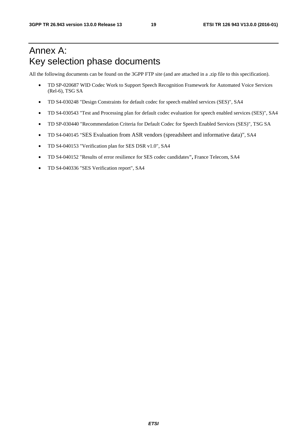# Annex A: Key selection phase documents

All the following documents can be found on the 3GPP FTP site (and are attached in a .zip file to this specification).

- TD SP-020687 WID Codec Work to Support Speech Recognition Framework for Automated Voice Services (Rel-6), TSG SA
- TD S4-030248 "Design Constraints for default codec for speech enabled services (SES)", SA4
- TD S4-030543 "Test and Processing plan for default codec evaluation for speech enabled services (SES)", SA4
- TD SP-030440 "Recommendation Criteria for Default Codec for Speech Enabled Services (SES)", TSG SA
- TD S4-040145 "SES Evaluation from ASR vendors (spreadsheet and informative data)", SA4
- TD S4-040153 "Verification plan for SES DSR v1.0", SA4
- TD S4-040152 "Results of error resilience for SES codec candidates**",** France Telecom, SA4
- TD S4-040336 "SES Verification report", SA4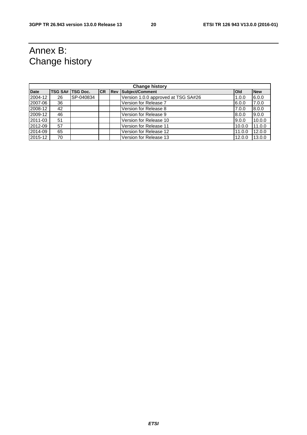# Annex B: Change history

| <b>Change history</b> |    |                    |           |  |                                     |              |            |  |
|-----------------------|----|--------------------|-----------|--|-------------------------------------|--------------|------------|--|
| <b>Date</b>           |    | TSG SA#   TSG Doc. | <b>CR</b> |  | <b>Rev Subject/Comment</b>          | <b>l</b> Old | <b>New</b> |  |
| 2004-12               | 26 | SP-040834          |           |  | Version 1.0.0 approved at TSG SA#26 | 1.0.0        | 6.0.0      |  |
| 2007-06               | 36 |                    |           |  | Version for Release 7               | 6.0.0        | 7.0.0      |  |
| 2008-12               | 42 |                    |           |  | Version for Release 8               | 7.0.0        | 8.0.0      |  |
| 2009-12               | 46 |                    |           |  | Version for Release 9               | 8.0.0        | 9.0.0      |  |
| 2011-03               | 51 |                    |           |  | Version for Release 10              | 9.0.0        | 10.0.0     |  |
| 2012-09               | 57 |                    |           |  | Version for Release 11              | 10.0.0       | 11.0.0     |  |
| 2014-09               | 65 |                    |           |  | Version for Release 12              | 11.0.0       | 12.0.0     |  |
| 2015-12               | 70 |                    |           |  | Version for Release 13              | 12.0.0       | 13.0.0     |  |